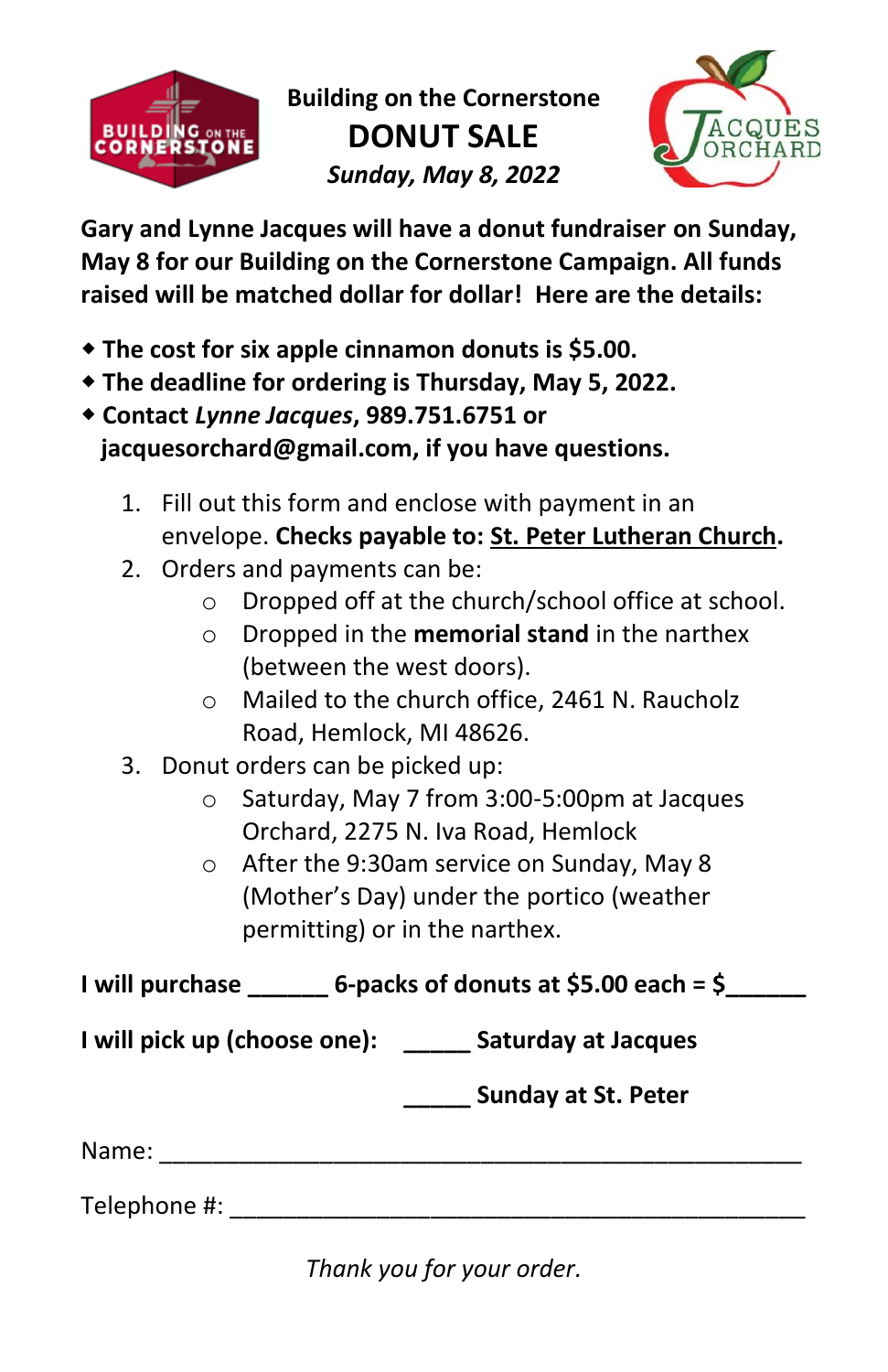

**Building on the Cornerstone DONUT SALE** *Sunday, May 8, 2022*



**Gary and Lynne Jacques will have a donut fundraiser on Sunday, May 8 for our Building on the Cornerstone Campaign. All funds raised will be matched dollar for dollar! Here are the details:** 

- **The cost for six apple cinnamon donuts is \$5.00.**
- **The deadline for ordering is Thursday, May 5, 2022.**
- **Contact** *Lynne Jacques***, 989.751.6751 or jacquesorchard@gmail.com, if you have questions.** 
	- 1. Fill out this form and enclose with payment in an envelope. **Checks payable to: St. Peter Lutheran Church.**
	- 2. Orders and payments can be:
		- o Dropped off at the church/school office at school.
		- o Dropped in the **memorial stand** in the narthex (between the west doors).
		- o Mailed to the church office, 2461 N. Raucholz Road, Hemlock, MI 48626.
	- 3. Donut orders can be picked up:
		- o Saturday, May 7 from 3:00-5:00pm at Jacques Orchard, 2275 N. Iva Road, Hemlock
		- o After the 9:30am service on Sunday, May 8 (Mother's Day) under the portico (weather permitting) or in the narthex.

**I will purchase \_\_\_\_\_\_ 6-packs of donuts at \$5.00 each = \$\_\_\_\_\_\_**

**I will pick up (choose one): \_\_\_\_\_ Saturday at Jacques** 

**\_\_\_\_\_ Sunday at St. Peter**

Name: \_\_\_\_\_\_\_\_\_\_\_\_\_\_\_\_\_\_\_\_\_\_\_\_\_\_\_\_\_\_\_\_\_\_\_\_\_\_\_\_\_\_\_\_\_\_\_\_

Telephone #:  $\blacksquare$ 

*Thank you for your order.*